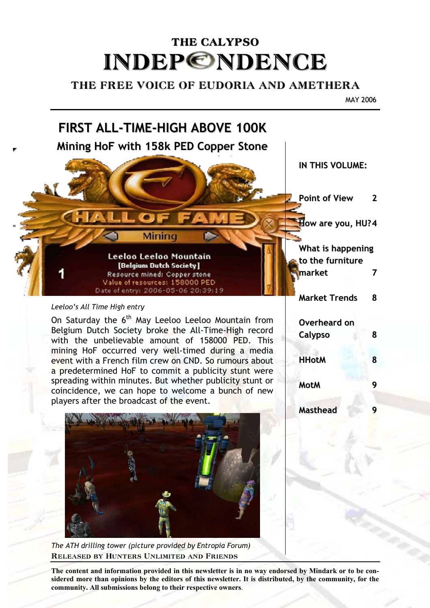# THE CALYPSO **INDEP©NDENCE**

# THE FREE VOICE OF EUDORIA AND AMETHERA

MAY 2006



Released by Hunters Unlimited and Friends *The ATH drilling tower (picture provided by Entropia Forum)* 

**The content and information provided in this newsletter is in no way endorsed by Mindark or to be considered more than opinions by the editors of this newsletter. It is distributed, by the community, for the community. All submissions belong to their respective owners**.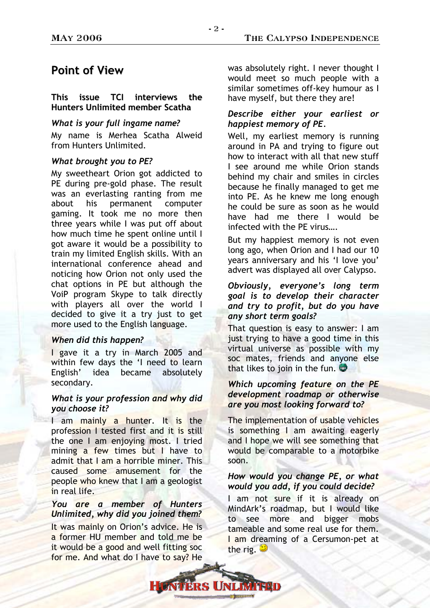# **Point of View**

#### **This issue TCI interviews the Hunters Unlimited member Scatha**

#### *What is your full ingame name?*

My name is Merhea Scatha Alweid from Hunters Unlimited.

#### *What brought you to PE?*

My sweetheart Orion got addicted to PE during pre-gold phase. The result was an everlasting ranting from me about his permanent computer gaming. It took me no more then three years while I was put off about how much time he spent online until I got aware it would be a possibility to train my limited English skills. With an international conference ahead and noticing how Orion not only used the chat options in PE but although the VoiP program Skype to talk directly with players all over the world I decided to give it a try just to get more used to the English language.

#### *When did this happen?*

I gave it a try in March 2005 and within few days the 'I need to learn English' idea became absolutely secondary.

#### *What is your profession and why did you choose it?*

I am mainly a hunter. It is the profession I tested first and it is still the one I am enjoying most. I tried mining a few times but I have to admit that I am a horrible miner. This caused some amusement for the people who knew that I am a geologist in real life.

#### *You are a member of Hunters Unlimited, why did you joined them?*

It was mainly on Orion's advice. He is a former HU member and told me be it would be a good and well fitting soc for me. And what do I have to say? He

was absolutely right. I never thought I would meet so much people with a similar sometimes off-key humour as I have myself, but there they are!

#### *Describe either your earliest or happiest memory of PE.*

Well, my earliest memory is running around in PA and trying to figure out how to interact with all that new stuff I see around me while Orion stands behind my chair and smiles in circles because he finally managed to get me into PE. As he knew me long enough he could be sure as soon as he would have had me there I would be infected with the PE virus….

But my happiest memory is not even long ago, when Orion and I had our 10 years anniversary and his 'I love you' advert was displayed all over Calypso.

## *Obviously, everyone's long term goal is to develop their character and try to profit, but do you have any short term goals?*

That question is easy to answer: I am just trying to have a good time in this virtual universe as possible with my soc mates, friends and anyone else that likes to join in the fun.  $\mathbf{\hat{P}}$ 

#### *Which upcoming feature on the PE development roadmap or otherwise are you most looking forward to?*

The implementation of usable vehicles is something I am awaiting eagerly and I hope we will see something that would be comparable to a motorbike soon.

#### *How would you change PE, or what would you add, if you could decide?*

I am not sure if it is already on MindArk's roadmap, but I would like to see more and bigger mobs tameable and some real use for them. I am dreaming of a Cersumon-pet at the rig.  $\ddot{z}$ 

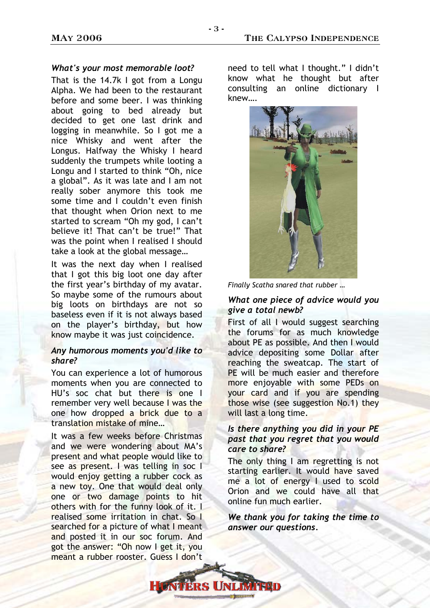#### *What's your most memorable loot?*

That is the 14.7k I got from a Longu Alpha. We had been to the restaurant before and some beer. I was thinking about going to bed already but decided to get one last drink and logging in meanwhile. So I got me a nice Whisky and went after the Longus. Halfway the Whisky I heard suddenly the trumpets while looting a Longu and I started to think "Oh, nice a global". As it was late and I am not really sober anymore this took me some time and I couldn't even finish that thought when Orion next to me started to scream "Oh my god, I can't believe it! That can't be true!" That was the point when I realised I should take a look at the global message…

It was the next day when I realised that I got this big loot one day after the first year's birthday of my avatar. So maybe some of the rumours about big loots on birthdays are not so baseless even if it is not always based on the player's birthday, but how know maybe it was just coincidence.

#### *Any humorous moments you'd like to share?*

You can experience a lot of humorous moments when you are connected to HU's soc chat but there is one I remember very well because I was the one how dropped a brick due to a translation mistake of mine…

It was a few weeks before Christmas and we were wondering about MA's present and what people would like to see as present. I was telling in soc I would enjoy getting a rubber cock as a new toy. One that would deal only one or two damage points to hit others with for the funny look of it. I realised some irritation in chat. So I searched for a picture of what I meant and posted it in our soc forum. And got the answer: "Oh now I get it, you meant a rubber rooster. Guess I don't

need to tell what I thought." I didn't know what he thought but after consulting an online dictionary I knew….



*Finally Scatha snared that rubber …* 

#### *What one piece of advice would you give a total newb?*

First of all I would suggest searching the forums for as much knowledge about PE as possible. And then I would advice depositing some Dollar after reaching the sweatcap. The start of PE will be much easier and therefore more enjoyable with some PEDs on your card and if you are spending those wise (see suggestion No.1) they will last a long time.

## *Is there anything you did in your PE past that you regret that you would care to share?*

The only thing I am regretting is not starting earlier. It would have saved me a lot of energy I used to scold Orion and we could have all that online fun much earlier.

*We thank you for taking the time to answer our questions.* 

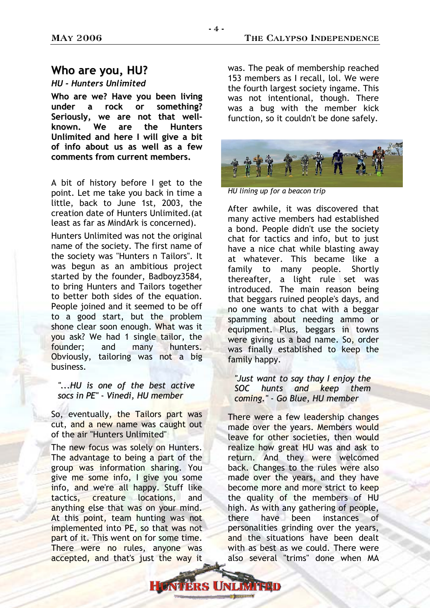## **Who are you, HU?**

#### *HU - Hunters Unlimited*

**Who are we? Have you been living under a rock or something? Seriously, we are not that wellknown. We are the Hunters Unlimited and here I will give a bit of info about us as well as a few comments from current members.**

A bit of history before I get to the point. Let me take you back in time a little, back to June 1st, 2003, the creation date of Hunters Unlimited.(at least as far as MindArk is concerned).

Hunters Unlimited was not the original name of the society. The first name of the society was "Hunters n Tailors". It was begun as an ambitious project started by the founder, Badboyz3584, to bring Hunters and Tailors together to better both sides of the equation. People joined and it seemed to be off to a good start, but the problem shone clear soon enough. What was it you ask? We had 1 single tailor, the founder; and many hunters. Obviously, tailoring was not a big business.

#### *"...HU is one of the best active socs in PE" - Vinedi, HU member*

So, eventually, the Tailors part was cut, and a new name was caught out of the air "Hunters Unlimited"

The new focus was solely on Hunters. The advantage to being a part of the group was information sharing. You give me some info, I give you some info, and we're all happy. Stuff like tactics, creature locations, and anything else that was on your mind. At this point, team hunting was not implemented into PE, so that was not part of it. This went on for some time. There were no rules, anyone was accepted, and that's just the way it

was. The peak of membership reached 153 members as I recall, lol. We were the fourth largest society ingame. This was not intentional, though. There was a bug with the member kick function, so it couldn't be done safely.



*HU lining up for a beacon trip* 

After awhile, it was discovered that many active members had established a bond. People didn't use the society chat for tactics and info, but to just have a nice chat while blasting away at whatever. This became like a family to many people. Shortly thereafter, a light rule set was introduced. The main reason being that beggars ruined people's days, and no one wants to chat with a beggar spamming about needing ammo or equipment. Plus, beggars in towns were giving us a bad name. So, order was finally established to keep the family happy.

*"Just want to say thay I enjoy the SOC hunts and keep them coming." - Go Blue, HU member*

There were a few leadership changes made over the years. Members would leave for other societies, then would realize how great HU was and ask to return. And they were welcomed back. Changes to the rules were also made over the years, and they have become more and more strict to keep the quality of the members of HU high. As with any gathering of people, there have been instances of personalities grinding over the years, and the situations have been dealt with as best as we could. There were also several "trims" done when MA

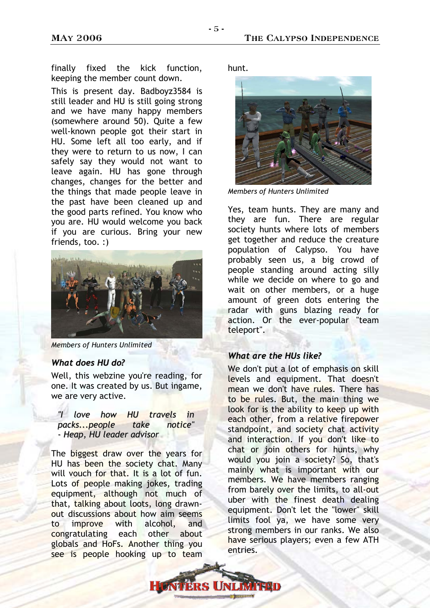finally fixed the kick function, keeping the member count down.

This is present day. Badboyz3584 is still leader and HU is still going strong and we have many happy members (somewhere around 50). Quite a few well-known people got their start in HU. Some left all too early, and if they were to return to us now, I can safely say they would not want to leave again. HU has gone through changes, changes for the better and the things that made people leave in the past have been cleaned up and the good parts refined. You know who you are. HU would welcome you back if you are curious. Bring your new friends, too. :)



*Members of Hunters Unlimited*

#### *What does HU do?*

Well, this webzine you're reading, for one. It was created by us. But ingame, we are very active.

*"I love how HU travels in packs...people take notice" - Heap, HU leader advisor*

The biggest draw over the years for HU has been the society chat. Many will vouch for that. It is a lot of fun. Lots of people making jokes, trading equipment, although not much of that, talking about loots, long drawnout discussions about how aim seems to improve with alcohol, and congratulating each other about globals and HoFs. Another thing you see is people hooking up to team

hunt.



*Members of Hunters Unlimited*

Yes, team hunts. They are many and they are fun. There are regular society hunts where lots of members get together and reduce the creature population of Calypso. You have probably seen us, a big crowd of people standing around acting silly while we decide on where to go and wait on other members, or a huge amount of green dots entering the radar with guns blazing ready for action. Or the ever-popular "team teleport".

#### *What are the HUs like?*

We don't put a lot of emphasis on skill levels and equipment. That doesn't mean we don't have rules. There has to be rules. But, the main thing we look for is the ability to keep up with each other, from a relative firepower standpoint, and society chat activity and interaction. If you don't like to chat or join others for hunts, why would you join a society? So, that's mainly what is important with our members. We have members ranging from barely over the limits, to all-out uber with the finest death dealing equipment. Don't let the "lower" skill limits fool ya, we have some very strong members in our ranks. We also have serious players; even a few ATH entries.

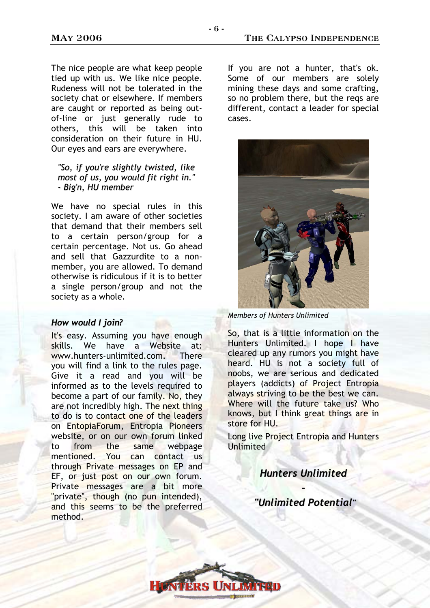- 6 -

The nice people are what keep people tied up with us. We like nice people. Rudeness will not be tolerated in the society chat or elsewhere. If members are caught or reported as being outof-line or just generally rude to others, this will be taken into consideration on their future in HU. Our eyes and ears are everywhere.

#### *"So, if you're slightly twisted, like most of us, you would fit right in." - Big'n, HU member*

We have no special rules in this society. I am aware of other societies that demand that their members sell to a certain person/group for a certain percentage. Not us. Go ahead and sell that Gazzurdite to a nonmember, you are allowed. To demand otherwise is ridiculous if it is to better a single person/group and not the society as a whole.

#### *How would I join?*

It's easy. Assuming you have enough skills. We have a Website at: www.hunters-unlimited.com. There you will find a link to the rules page. Give it a read and you will be informed as to the levels required to become a part of our family. No, they are not incredibly high. The next thing to do is to contact one of the leaders on EntopiaForum, Entropia Pioneers website, or on our own forum linked to from the same webpage mentioned. You can contact us through Private messages on EP and EF, or just post on our own forum. Private messages are a bit more "private", though (no pun intended), and this seems to be the preferred method.

If you are not a hunter, that's ok. Some of our members are solely mining these days and some crafting, so no problem there, but the reqs are different, contact a leader for special cases.



*Members of Hunters Unlimited*

So, that is a little information on the Hunters Unlimited. I hope I have cleared up any rumors you might have heard. HU is not a society full of noobs, we are serious and dedicated players (addicts) of Project Entropia always striving to be the best we can. Where will the future take us? Who knows, but I think great things are in store for HU.

Long live Project Entropia and Hunters **Unlimited** 

> *Hunters Unlimited –*

*"Unlimited Potential"*

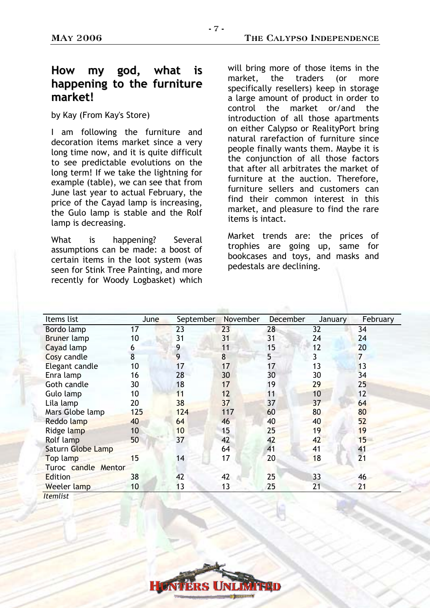# **How my god, what is happening to the furniture market!**

by Kay (From Kay's Store)

I am following the furniture and decoration items market since a very long time now, and it is quite difficult to see predictable evolutions on the long term! If we take the lightning for example (table), we can see that from June last year to actual February, the price of the Cayad lamp is increasing, the Gulo lamp is stable and the Rolf lamp is decreasing.

What is happening? Several assumptions can be made: a boost of certain items in the loot system (was seen for Stink Tree Painting, and more recently for Woody Logbasket) which will bring more of those items in the market, the traders (or more specifically resellers) keep in storage a large amount of product in order to control the market or/and the introduction of all those apartments on either Calypso or RealityPort bring natural rarefaction of furniture since people finally wants them. Maybe it is the conjunction of all those factors that after all arbitrates the market of furniture at the auction. Therefore, furniture sellers and customers can find their common interest in this market, and pleasure to find the rare items is intact.

Market trends are: the prices of trophies are going up, same for bookcases and toys, and masks and pedestals are declining.

| Items list          | <b>June</b> | September | November | <b>December</b> | January | February       |
|---------------------|-------------|-----------|----------|-----------------|---------|----------------|
| Bordo lamp          | 17          | 23        | 23       | 28              | 32      | 34             |
| <b>Bruner</b> lamp  | 10          | 31        | 31       | 31              | 24      | 24             |
| Cayad lamp          | 6           | 9         | 11       | 15              | 12      | 20             |
| Cosy candle         | 8           | 9         | 8        | 5               | 3       | $\overline{7}$ |
| Elegant candle      | 10          | 17        | 17       | 17              | 13      | 13             |
| Enra lamp           | 16          | 28        | 30       | 30              | 30      | 34             |
| Goth candle         | 30          | 18        | 17       | 19              | 29      | 25             |
| Gulo lamp           | 10          | 11        | 12       | 11              | 10      | 12             |
| Lila lamp           | 20          | 38        | 37       | 37              | 37      | 64             |
| Mars Globe lamp     | 125         | 124       | 117      | 60              | 80      | 80             |
| Reddo lamp          | 40          | 64        | 46       | 40              | 40      | 52             |
| Ridge lamp          | 10          | 10        | 15       | 25              | 19      | 19             |
| Rolf lamp           | 50          | 37        | 42       | 42              | 42      | 15             |
| Saturn Globe Lamp   |             |           | 64       | 41              | 41      | 41             |
| Top lamp            | 15          | 14        | 17       | 20              | 18      | 21             |
| Turoc candle Mentor |             |           |          |                 |         |                |
| Edition             | 38          | 42        | 42       | 25              | 33      | 46             |
| Weeler lamp         | 10          | 13        | 13       | 25              | 21      | 21             |
| <b>Itemlist</b>     |             |           |          |                 |         |                |

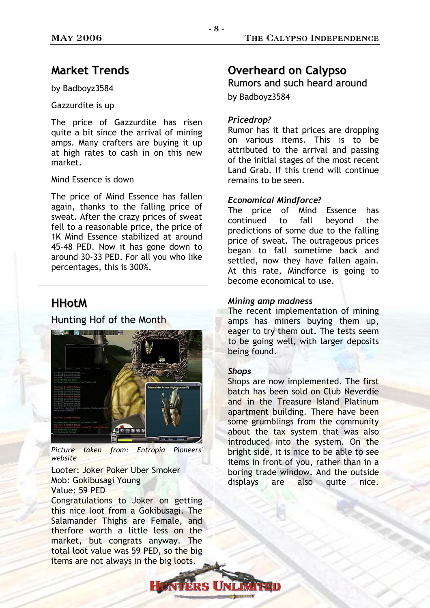## **Market Trends**

by Badboyz3584

Gazzurdite is up

The price of Gazzurdite has risen quite a bit since the arrival of mining amps. Many crafters are buying it up at high rates to cash in on this new market.

#### Mind Essence is down

The price of Mind Essence has fallen again, thanks to the falling price of sweat. After the crazy prices of sweat fell to a reasonable price, the price of 1K Mind Essence stabilized at around 45-48 PED. Now it has gone down to around 30-33 PED. For all you who like percentages, this is 300%.

## **HHotM**

## Hunting Hof of the Month



*Picture taken from: Entropia Pioneers' website* 

Looter: Joker Poker Uber Smoker Mob: Gokibusagi Young Value: 59 PED

Congratulations to Joker on getting this nice loot from a Gokibusagi. The Salamander Thighs are Female, and therfore worth a little less on the market, but congrats anyway. The total loot value was 59 PED, so the big items are not always in the big loots.

# **Overheard on Calypso**

Rumors and such heard around by Badboyz3584

## *Pricedrop?*

Rumor has it that prices are dropping on various items. This is to be attributed to the arrival and passing of the initial stages of the most recent Land Grab. If this trend will continue remains to be seen.

#### *Economical Mindforce?*

The price of Mind Essence has continued to fall beyond the predictions of some due to the falling price of sweat. The outrageous prices began to fall sometime back and settled, now they have fallen again. At this rate, Mindforce is going to become economical to use.

#### *Mining amp madness*

The recent implementation of mining amps has miners buying them up, eager to try them out. The tests seem to be going well, with larger deposits being found.

#### *Shops*

Shops are now implemented. The first batch has been sold on Club Neverdie and in the Treasure Island Platinum apartment building. There have been some grumblings from the community about the tax system that was also introduced into the system. On the bright side, it is nice to be able to see items in front of you, rather than in a boring trade window. And the outside displays are also quite nice.